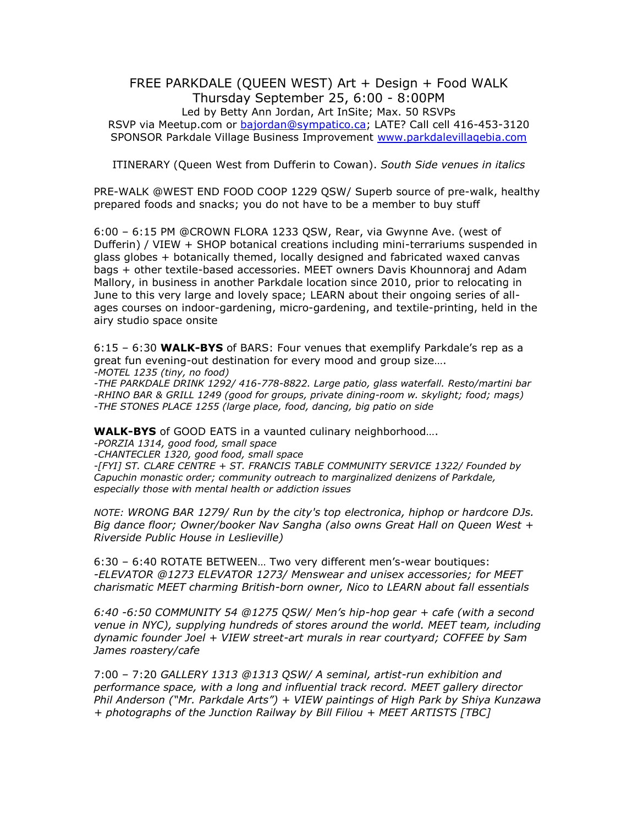## FREE PARKDALE (QUEEN WEST) Art + Design + Food WALK Thursday September 25, 6:00 - 8:00PM Led by Betty Ann Jordan, Art InSite; Max. 50 RSVPs RSVP via Meetup.com or [bajordan@sympatico.ca;](mailto:bajordan@sympatico.ca) LATE? Call cell 416-453-3120 SPONSOR Parkdale Village Business Improvement [www.parkdalevillagebia.com](http://www.parkdalevillagebia.com/)

ITINERARY (Queen West from Dufferin to Cowan). *South Side venues in italics*

PRE-WALK @WEST END FOOD COOP 1229 QSW/ Superb source of pre-walk, healthy prepared foods and snacks; you do not have to be a member to buy stuff

6:00 – 6:15 PM @CROWN FLORA 1233 QSW, Rear, via Gwynne Ave. (west of Dufferin) / VIEW + SHOP botanical creations including mini-terrariums suspended in glass globes + botanically themed, locally designed and fabricated waxed canvas bags + other textile-based accessories. MEET owners Davis Khounnoraj and Adam Mallory, in business in another Parkdale location since 2010, prior to relocating in June to this very large and lovely space; LEARN about their ongoing series of allages courses on indoor-gardening, micro-gardening, and textile-printing, held in the airy studio space onsite

6:15 – 6:30 **WALK-BYS** of BARS: Four venues that exemplify Parkdale's rep as a great fun evening-out destination for every mood and group size…. *-MOTEL 1235 (tiny, no food)*

*-THE PARKDALE DRINK 1292/ 416-778-8822. Large patio, glass waterfall. Resto/martini bar -RHINO BAR & GRILL 1249 (good for groups, private dining-room w. skylight; food; mags) -THE STONES PLACE 1255 (large place, food, dancing, big patio on side*

**WALK-BYS** of GOOD EATS in a vaunted culinary neighborhood….

*-PORZIA 1314, good food, small space* 

*-CHANTECLER 1320, good food, small space* 

*-[FYI] ST. CLARE CENTRE + ST. FRANCIS TABLE COMMUNITY SERVICE 1322/ Founded by Capuchin monastic order; community outreach to marginalized denizens of Parkdale, especially those with mental health or addiction issues*

*NOTE: WRONG BAR 1279/ Run by the city's top electronica, hiphop or hardcore DJs. Big dance floor; Owner/booker Nav Sangha (also owns Great Hall on Queen West + Riverside Public House in Leslieville)* 

6:30 – 6:40 ROTATE BETWEEN… Two very different men's-wear boutiques: *-ELEVATOR @1273 ELEVATOR 1273/ Menswear and unisex accessories; for MEET charismatic MEET charming British-born owner, Nico to LEARN about fall essentials* 

*6:40 -6:50 COMMUNITY 54 @1275 QSW/ Men's hip-hop gear + cafe (with a second venue in NYC), supplying hundreds of stores around the world. MEET team, including dynamic founder Joel + VIEW street-art murals in rear courtyard; COFFEE by Sam James roastery/cafe*

7:00 – 7:20 *GALLERY 1313 @1313 QSW/ A seminal, artist-run exhibition and performance space, with a long and influential track record. MEET gallery director Phil Anderson ("Mr. Parkdale Arts") + VIEW paintings of High Park by Shiya Kunzawa + photographs of the Junction Railway by Bill Filiou + MEET ARTISTS [TBC]*